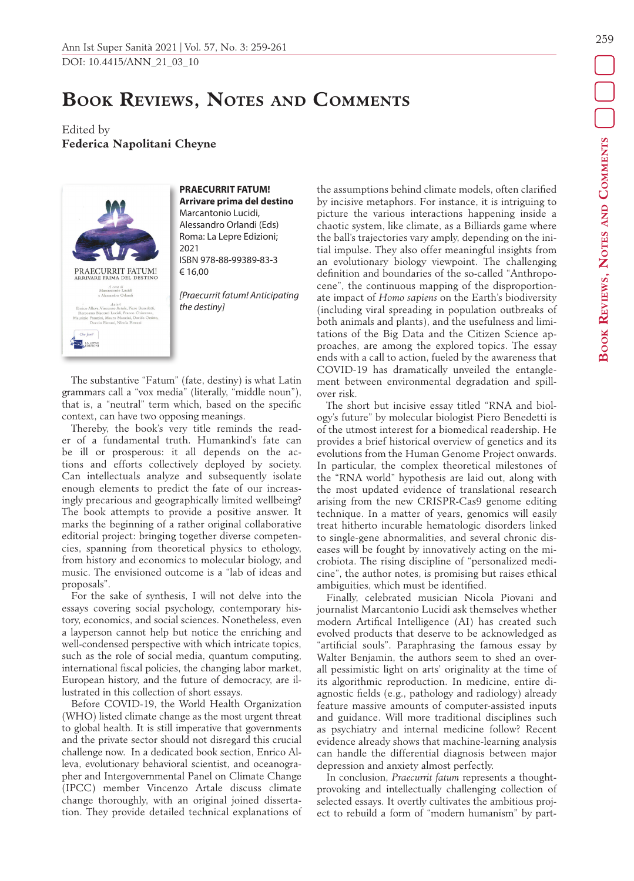## **Book Reviews, Notes and Comments**

Edited by **Federica Napolitani Cheyne**



## **PRAECURRIT FATUM! Arrivare prima del destino** Marcantonio Lucidi, Alessandro Orlandi (Eds) Roma: La Lepre Edizioni;

ISBN 978-88-99389-83-3 € 16,00

*[Praecurrit fatum! Anticipating the destiny]*

The substantive "Fatum" (fate, destiny) is what Latin grammars call a "vox media" (literally, "middle noun"), that is, a "neutral" term which, based on the specific context, can have two opposing meanings.

2021

Thereby, the book's very title reminds the reader of a fundamental truth. Humankind's fate can be ill or prosperous: it all depends on the actions and efforts collectively deployed by society. Can intellectuals analyze and subsequently isolate enough elements to predict the fate of our increasingly precarious and geographically limited wellbeing? The book attempts to provide a positive answer. It marks the beginning of a rather original collaborative editorial project: bringing together diverse competencies, spanning from theoretical physics to ethology, from history and economics to molecular biology, and music. The envisioned outcome is a "lab of ideas and proposals".

For the sake of synthesis, I will not delve into the essays covering social psychology, contemporary history, economics, and social sciences. Nonetheless, even a layperson cannot help but notice the enriching and well-condensed perspective with which intricate topics, such as the role of social media, quantum computing, international fiscal policies, the changing labor market, European history, and the future of democracy, are illustrated in this collection of short essays.

Before COVID-19, the World Health Organization (WHO) listed climate change as the most urgent threat to global health. It is still imperative that governments and the private sector should not disregard this crucial challenge now. In a dedicated book section, Enrico Alleva, evolutionary behavioral scientist, and oceanographer and Intergovernmental Panel on Climate Change (IPCC) member Vincenzo Artale discuss climate change thoroughly, with an original joined dissertation. They provide detailed technical explanations of the assumptions behind climate models, often clarified by incisive metaphors. For instance, it is intriguing to picture the various interactions happening inside a chaotic system, like climate, as a Billiards game where the ball's trajectories vary amply, depending on the initial impulse. They also offer meaningful insights from an evolutionary biology viewpoint. The challenging definition and boundaries of the so-called "Anthropocene", the continuous mapping of the disproportionate impact of *Homo sapiens* on the Earth's biodiversity (including viral spreading in population outbreaks of both animals and plants), and the usefulness and limitations of the Big Data and the Citizen Science approaches, are among the explored topics. The essay ends with a call to action, fueled by the awareness that COVID-19 has dramatically unveiled the entanglement between environmental degradation and spillover risk.

The short but incisive essay titled "RNA and biology's future" by molecular biologist Piero Benedetti is of the utmost interest for a biomedical readership. He provides a brief historical overview of genetics and its evolutions from the Human Genome Project onwards. In particular, the complex theoretical milestones of the "RNA world" hypothesis are laid out, along with the most updated evidence of translational research arising from the new CRISPR-Cas9 genome editing technique. In a matter of years, genomics will easily treat hitherto incurable hematologic disorders linked to single-gene abnormalities, and several chronic diseases will be fought by innovatively acting on the microbiota. The rising discipline of "personalized medicine", the author notes, is promising but raises ethical ambiguities, which must be identified.

Finally, celebrated musician Nicola Piovani and journalist Marcantonio Lucidi ask themselves whether modern Artifical Intelligence (AI) has created such evolved products that deserve to be acknowledged as "artificial souls". Paraphrasing the famous essay by Walter Benjamin, the authors seem to shed an overall pessimistic light on arts' originality at the time of its algorithmic reproduction. In medicine, entire diagnostic fields (e.g., pathology and radiology) already feature massive amounts of computer-assisted inputs and guidance. Will more traditional disciplines such as psychiatry and internal medicine follow? Recent evidence already shows that machine-learning analysis can handle the differential diagnosis between major depression and anxiety almost perfectly.

In conclusion, *Praecurrit fatum* represents a thoughtprovoking and intellectually challenging collection of selected essays. It overtly cultivates the ambitious project to rebuild a form of "modern humanism" by part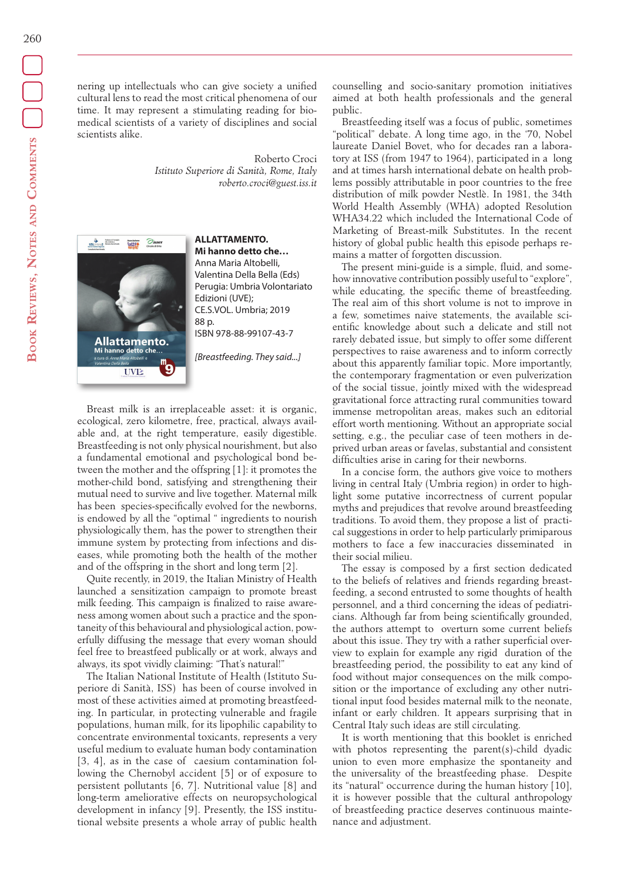nering up intellectuals who can give society a unified cultural lens to read the most critical phenomena of our time. It may represent a stimulating reading for biomedical scientists of a variety of disciplines and social scientists alike.

> Roberto Croci *Istituto Superiore di Sanità, Rome, Italy roberto.croci@guest.iss.it*



**ALLATTAMENTO. Mi hanno detto che…** Anna Maria Altobelli, Valentina Della Bella (Eds) Perugia: Umbria Volontariato Edizioni (UVE); CE.S.VOL. Umbria; 2019 88 p. ISBN 978-88-99107-43-7

*[Breastfeeding. They said...]*

Breast milk is an irreplaceable asset: it is organic, ecological, zero kilometre, free, practical, always available and, at the right temperature, easily digestible. Breastfeeding is not only physical nourishment, but also a fundamental emotional and psychological bond between the mother and the offspring [1]: it promotes the mother-child bond, satisfying and strengthening their mutual need to survive and live together. Maternal milk has been species-specifically evolved for the newborns, is endowed by all the "optimal " ingredients to nourish physiologically them, has the power to strengthen their immune system by protecting from infections and diseases, while promoting both the health of the mother and of the offspring in the short and long term [2].

Quite recently, in 2019, the Italian Ministry of Health launched a sensitization campaign to promote breast milk feeding. This campaign is finalized to raise awareness among women about such a practice and the spontaneity of this behavioural and physiological action, powerfully diffusing the message that every woman should feel free to breastfeed publically or at work, always and always, its spot vividly claiming: "That's natural!"

The Italian National Institute of Health (Istituto Superiore di Sanità, ISS) has been of course involved in most of these activities aimed at promoting breastfeeding. In particular, in protecting vulnerable and fragile populations, human milk, for its lipophilic capability to concentrate environmental toxicants, represents a very useful medium to evaluate human body contamination [3, 4], as in the case of caesium contamination following the Chernobyl accident [5] or of exposure to persistent pollutants [6, 7]. Nutritional value [8] and long-term ameliorative effects on neuropsychological development in infancy [9]. Presently, the ISS institutional website presents a whole array of public health counselling and socio-sanitary promotion initiatives aimed at both health professionals and the general public.

Breastfeeding itself was a focus of public, sometimes "political" debate. A long time ago, in the '70, Nobel laureate Daniel Bovet, who for decades ran a laboratory at ISS (from 1947 to 1964), participated in a long and at times harsh international debate on health problems possibly attributable in poor countries to the free distribution of milk powder Nestlè. In 1981, the 34th World Health Assembly (WHA) adopted Resolution WHA34.22 which included the International Code of Marketing of Breast-milk Substitutes. In the recent history of global public health this episode perhaps remains a matter of forgotten discussion.

The present mini-guide is a simple, fluid, and somehow innovative contribution possibly useful to "explore", while educating, the specific theme of breastfeeding. The real aim of this short volume is not to improve in a few, sometimes naive statements, the available scientific knowledge about such a delicate and still not rarely debated issue, but simply to offer some different perspectives to raise awareness and to inform correctly about this apparently familiar topic. More importantly, the contemporary fragmentation or even pulverization of the social tissue, jointly mixed with the widespread gravitational force attracting rural communities toward immense metropolitan areas, makes such an editorial effort worth mentioning. Without an appropriate social setting, e.g., the peculiar case of teen mothers in deprived urban areas or favelas, substantial and consistent difficulties arise in caring for their newborns.

In a concise form, the authors give voice to mothers living in central Italy (Umbria region) in order to highlight some putative incorrectness of current popular myths and prejudices that revolve around breastfeeding traditions. To avoid them, they propose a list of practical suggestions in order to help particularly primiparous mothers to face a few inaccuracies disseminated in their social milieu.

The essay is composed by a first section dedicated to the beliefs of relatives and friends regarding breastfeeding, a second entrusted to some thoughts of health personnel, and a third concerning the ideas of pediatricians. Although far from being scientifically grounded, the authors attempt to overturn some current beliefs about this issue. They try with a rather superficial overview to explain for example any rigid duration of the breastfeeding period, the possibility to eat any kind of food without major consequences on the milk composition or the importance of excluding any other nutritional input food besides maternal milk to the neonate, infant or early children. It appears surprising that in Central Italy such ideas are still circulating.

It is worth mentioning that this booklet is enriched with photos representing the parent(s)-child dyadic union to even more emphasize the spontaneity and the universality of the breastfeeding phase. Despite its "natural" occurrence during the human history [10], it is however possible that the cultural anthropology of breastfeeding practice deserves continuous maintenance and adjustment.